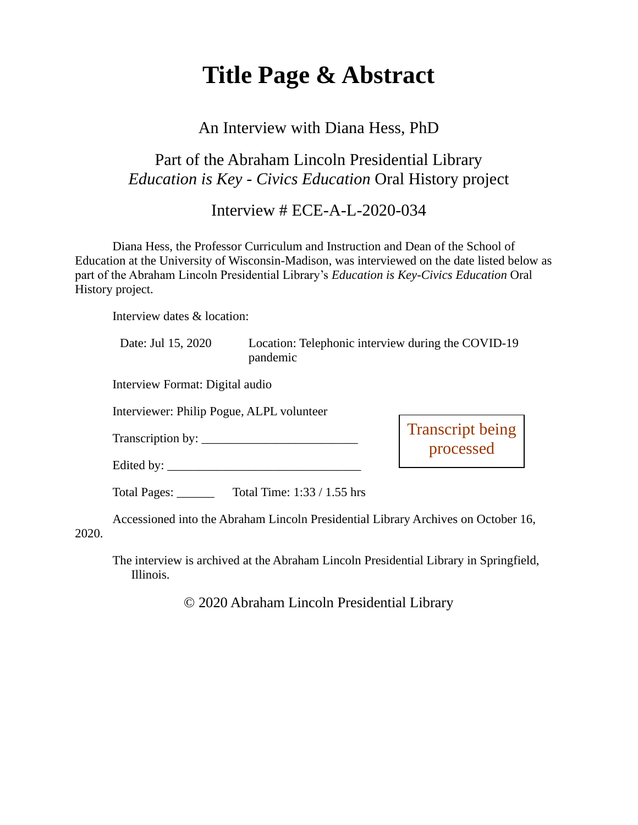# **Title Page & Abstract**

#### An Interview with Diana Hess, PhD

### Part of the Abraham Lincoln Presidential Library *Education is Key - Civics Education* Oral History project

Interview # ECE-A-L-2020-034

Diana Hess, the Professor Curriculum and Instruction and Dean of the School of Education at the University of Wisconsin-Madison, was interviewed on the date listed below as part of the Abraham Lincoln Presidential Library's *Education is Key-Civics Education* Oral History project.

Interview dates & location:

2020.

| Date: Jul 15, 2020                        | Location: Telephonic interview during the COVID-19<br>pandemic                    |                                      |
|-------------------------------------------|-----------------------------------------------------------------------------------|--------------------------------------|
| Interview Format: Digital audio           |                                                                                   |                                      |
| Interviewer: Philip Pogue, ALPL volunteer |                                                                                   |                                      |
|                                           |                                                                                   | <b>Transcript being</b><br>processed |
|                                           |                                                                                   |                                      |
|                                           | Total Pages: $\qquad \qquad$ Total Time: 1:33 / 1.55 hrs                          |                                      |
|                                           | Accessioned into the Abraham Lincoln Presidential Library Archives on October 16, |                                      |
|                                           |                                                                                   |                                      |

The interview is archived at the Abraham Lincoln Presidential Library in Springfield, Illinois.

© 2020 Abraham Lincoln Presidential Library